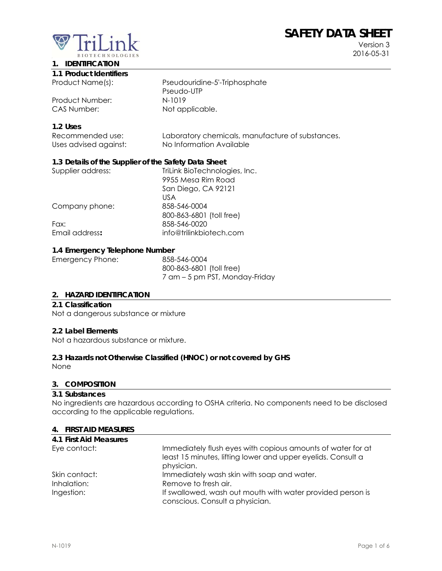# **SAFETY DATA SHEET**



Version 3 2016-05-31

## **1. IDENTIFICATION**

|  | 1.1 Product Identifiers |
|--|-------------------------|
|  |                         |

Product Number: N-1019

Product Name(s): Pseudouridine-5'-Triphosphate Pseudo-UTP CAS Number: Not applicable.

#### **1.2 Uses**

| Recommended use:      | Laboratory chemicals, manufacture of substances. |
|-----------------------|--------------------------------------------------|
| Uses advised against: | No Information Available                         |

## **1.3 Details of the Supplier of the Safety Data Sheet**

| Supplier address: | TriLink BioTechnologies, Inc. |
|-------------------|-------------------------------|
|                   | 9955 Mesa Rim Road            |
|                   | San Diego, CA 92121           |
|                   | US A                          |
| Company phone:    | 858-546-0004                  |
|                   | 800-863-6801 (toll free)      |
| Fax:              | 858-546-0020                  |
| Email address:    | info@trilinkbiotech.com       |
|                   |                               |

#### **1.4 Emergency Telephone Number**

| Emergency Phone: | 858-546-0004                   |
|------------------|--------------------------------|
|                  | 800-863-6801 (toll free)       |
|                  | 7 am – 5 pm PST, Monday-Friday |

#### **2. HAZARD IDENTIFICATION**

#### **2.1 Classification**

Not a dangerous substance or mixture

#### **2.2 Label Elements**

Not a hazardous substance or mixture.

#### **2.3 Hazards not Otherwise Classified (HNOC) or not covered by GHS**

None

#### **3. COMPOSITION**

#### **3.1 Substances**

No ingredients are hazardous according to OSHA criteria. No components need to be disclosed according to the applicable regulations.

#### **4. FIRST AID MEASURES**

| 4.1 First Aid Measures |                                                                                                                                           |
|------------------------|-------------------------------------------------------------------------------------------------------------------------------------------|
| Eye contact:           | Immediately flush eyes with copious amounts of water for at<br>least 15 minutes, lifting lower and upper eyelids. Consult a<br>physician. |
| Skin contact:          | Immediately wash skin with soap and water.                                                                                                |
| Inhalation:            | Remove to fresh air.                                                                                                                      |
| Ingestion:             | If swallowed, wash out mouth with water provided person is                                                                                |
|                        | conscious. Consult a physician.                                                                                                           |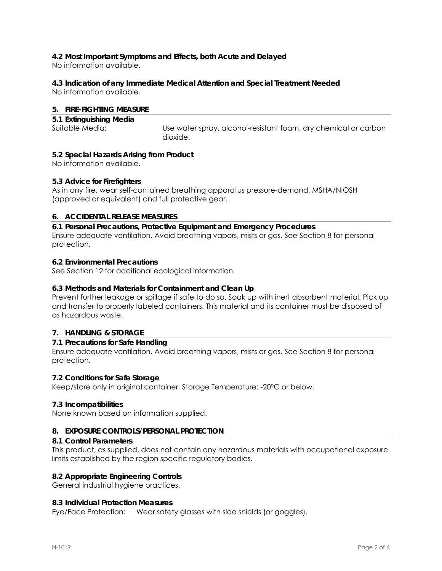# **4.2 Most Important Symptoms and Effects, both Acute and Delayed**

No information available.

## **4.3 Indication of any Immediate Medical Attention and Special Treatment Needed**

No information available.

## **5. FIRE-FIGHTING MEASURE**

| 5.1 Extinguishing Media |                                                                 |
|-------------------------|-----------------------------------------------------------------|
| Suitable Media:         | Use water spray, alcohol-resistant foam, dry chemical or carbon |
|                         | dioxide.                                                        |

## **5.2 Special Hazards Arising from Product**

No information available.

## **5.3 Advice for Firefighters**

As in any fire, wear self-contained breathing apparatus pressure-demand, MSHA/NIOSH (approved or equivalent) and full protective gear.

## **6. ACCIDENTAL RELEASE MEASURES**

**6.1 Personal Precautions, Protective Equipment and Emergency Procedures**  Ensure adequate ventilation. Avoid breathing vapors, mists or gas. See Section 8 for personal protection.

## **6.2 Environmental Precautions**

See Section 12 for additional ecological information.

## **6.3 Methods and Materials for Containment and Clean Up**

Prevent further leakage or spillage if safe to do so. Soak up with inert absorbent material. Pick up and transfer to properly labeled containers. This material and its container must be disposed of as hazardous waste.

## **7. HANDLING & STORAGE**

## **7.1 Precautions for Safe Handling**

Ensure adequate ventilation. Avoid breathing vapors, mists or gas. See Section 8 for personal protection.

#### **7.2 Conditions for Safe Storage**

Keep/store only in original container. Storage Temperature: -20°C or below.

#### **7.3 Incompatibilities**

None known based on information supplied.

#### **8. EXPOSURE CONTROLS/PERSONAL PROTECTION**

#### **8.1 Control Parameters**

This product, as supplied, does not contain any hazardous materials with occupational exposure limits established by the region specific regulatory bodies.

#### **8.2 Appropriate Engineering Controls**

General industrial hygiene practices.

#### **8.3 Individual Protection Measures**

Eye/Face Protection: Wear safety glasses with side shields (or goggles).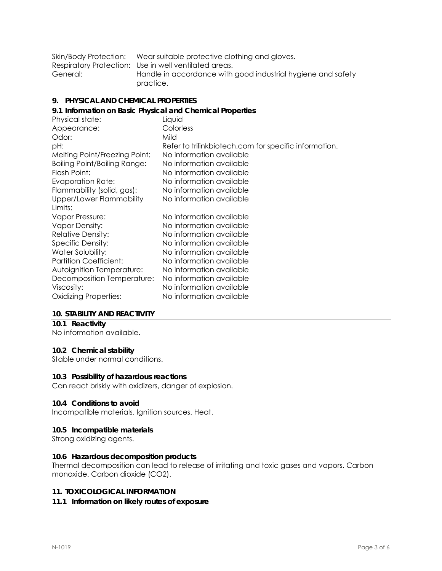|          | Skin/Body Protection: Wear suitable protective clothing and gloves. |
|----------|---------------------------------------------------------------------|
|          | Respiratory Protection: Use in well ventilated areas.               |
| General: | Handle in accordance with good industrial hygiene and safety        |
|          | practice.                                                           |

#### **9. PHYSICAL AND CHEMICAL PROPERTIES**

| 9.1 Information on Basic Physical and Chemical Properties |                                                       |  |
|-----------------------------------------------------------|-------------------------------------------------------|--|
| Physical state:                                           | Liquid                                                |  |
| Appearance:                                               | Colorless                                             |  |
| Odor:                                                     | Mild                                                  |  |
| pH:                                                       | Refer to trilinkbiotech.com for specific information. |  |
| Melting Point/Freezing Point:                             | No information available                              |  |
| <b>Boiling Point/Boiling Range:</b>                       | No information available                              |  |
| Flash Point:                                              | No information available                              |  |
| <b>Evaporation Rate:</b>                                  | No information available                              |  |
| Flammability (solid, gas):                                | No information available                              |  |
| Upper/Lower Flammability                                  | No information available                              |  |
| Limits:                                                   |                                                       |  |
| Vapor Pressure:                                           | No information available                              |  |
| <b>Vapor Density:</b>                                     | No information available                              |  |
| <b>Relative Density:</b>                                  | No information available                              |  |
| Specific Density:                                         | No information available                              |  |
| Water Solubility:                                         | No information available                              |  |
| <b>Partition Coefficient:</b>                             | No information available                              |  |
| Autoignition Temperature:                                 | No information available                              |  |
| Decomposition Temperature:                                | No information available                              |  |
| Viscosity:                                                | No information available                              |  |
| <b>Oxidizing Properties:</b>                              | No information available                              |  |
|                                                           |                                                       |  |

#### **10. STABILITY AND REACTIVITY**

## **10.1 Reactivity**

No information available.

## **10.2 Chemical stability**

Stable under normal conditions.

#### **10.3 Possibility of hazardous reactions**

Can react briskly with oxidizers, danger of explosion.

#### **10.4 Conditions to avoid**

Incompatible materials. Ignition sources. Heat.

#### **10.5 Incompatible materials**

Strong oxidizing agents.

#### **10.6 Hazardous decomposition products**

Thermal decomposition can lead to release of irritating and toxic gases and vapors. Carbon monoxide. Carbon dioxide (CO2).

#### **11. TOXICOLOGICAL INFORMATION**

#### **11.1 Information on likely routes of exposure**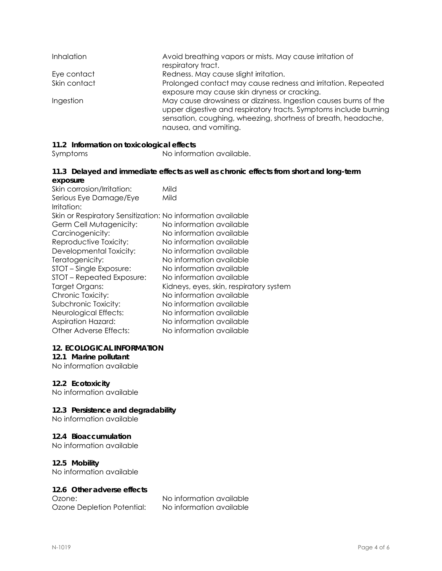| <b>Inhalation</b> | Avoid breathing vapors or mists. May cause irritation of<br>respiratory tract.                                                                                                                                                 |
|-------------------|--------------------------------------------------------------------------------------------------------------------------------------------------------------------------------------------------------------------------------|
| Eye contact       | Redness. May cause slight irritation.                                                                                                                                                                                          |
| Skin contact      | Prolonged contact may cause redness and irritation. Repeated<br>exposure may cause skin dryness or cracking.                                                                                                                   |
| Ingestion         | May cause drowsiness or dizziness. Ingestion causes burns of the<br>upper digestive and respiratory tracts. Symptoms include burning<br>sensation, coughing, wheezing, shortness of breath, headache,<br>nausea, and vomiting. |

#### **11.2 Information on toxicological effects**

Symptoms No information available.

#### **11.3 Delayed and immediate effects as well as chronic effects from short and long-term exposure**

| Mild<br>Skin or Respiratory Sensitization: No information available<br>No information available<br>No information available<br>No information available<br>No information available<br>No information available<br>No information available<br>No information available<br>Kidneys, eyes, skin, respiratory system<br>No information available<br>No information available<br>No information available<br>No information available | Skin corrosion/Irritation: | Mild                     |
|------------------------------------------------------------------------------------------------------------------------------------------------------------------------------------------------------------------------------------------------------------------------------------------------------------------------------------------------------------------------------------------------------------------------------------|----------------------------|--------------------------|
|                                                                                                                                                                                                                                                                                                                                                                                                                                    | Serious Eye Damage/Eye     |                          |
|                                                                                                                                                                                                                                                                                                                                                                                                                                    | Irritation:                |                          |
|                                                                                                                                                                                                                                                                                                                                                                                                                                    |                            |                          |
|                                                                                                                                                                                                                                                                                                                                                                                                                                    | Germ Cell Mutagenicity:    |                          |
|                                                                                                                                                                                                                                                                                                                                                                                                                                    | Carcinogenicity:           |                          |
|                                                                                                                                                                                                                                                                                                                                                                                                                                    | Reproductive Toxicity:     |                          |
|                                                                                                                                                                                                                                                                                                                                                                                                                                    | Developmental Toxicity:    |                          |
|                                                                                                                                                                                                                                                                                                                                                                                                                                    | Teratogenicity:            |                          |
|                                                                                                                                                                                                                                                                                                                                                                                                                                    | STOT – Single Exposure:    |                          |
|                                                                                                                                                                                                                                                                                                                                                                                                                                    | STOT - Repeated Exposure:  |                          |
|                                                                                                                                                                                                                                                                                                                                                                                                                                    | Target Organs:             |                          |
|                                                                                                                                                                                                                                                                                                                                                                                                                                    | Chronic Toxicity:          |                          |
|                                                                                                                                                                                                                                                                                                                                                                                                                                    | Subchronic Toxicity:       |                          |
|                                                                                                                                                                                                                                                                                                                                                                                                                                    | Neurological Effects:      |                          |
|                                                                                                                                                                                                                                                                                                                                                                                                                                    | <b>Aspiration Hazard:</b>  |                          |
|                                                                                                                                                                                                                                                                                                                                                                                                                                    | Other Adverse Effects:     | No information available |

#### **12. ECOLOGICAL INFORMATION**

#### **12.1 Marine pollutant**

No information available

#### **12.2 Ecotoxicity**

No information available

#### **12.3 Persistence and degradability**

No information available

#### **12.4 Bioaccumulation**

No information available

#### **12.5 Mobility**

No information available

#### **12.6 Other adverse effects**

Ozone Depletion Potential: No information available

Ozone: No information available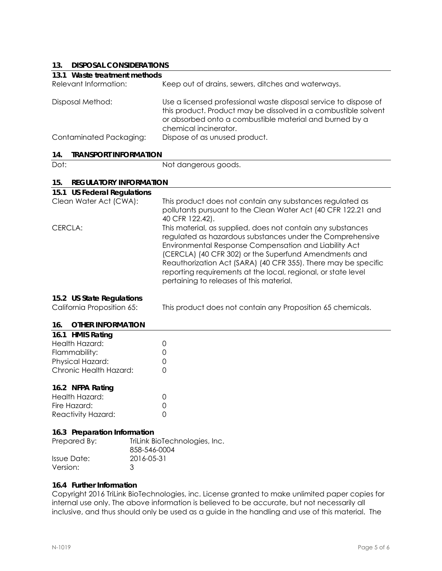## **13. DISPOSAL CONSIDERATIONS**

| 13.                                  | DISPOSAL CONSIDERATIONS                                                                                                                                                                                                                                                                                                                                                                                                   |  |  |
|--------------------------------------|---------------------------------------------------------------------------------------------------------------------------------------------------------------------------------------------------------------------------------------------------------------------------------------------------------------------------------------------------------------------------------------------------------------------------|--|--|
| 13.1 Waste treatment methods         |                                                                                                                                                                                                                                                                                                                                                                                                                           |  |  |
| Relevant Information:                | Keep out of drains, sewers, ditches and waterways.                                                                                                                                                                                                                                                                                                                                                                        |  |  |
| Disposal Method:                     | Use a licensed professional waste disposal service to dispose of<br>this product. Product may be dissolved in a combustible solvent<br>or absorbed onto a combustible material and burned by a<br>chemical incinerator.                                                                                                                                                                                                   |  |  |
| Contaminated Packaging:              | Dispose of as unused product.                                                                                                                                                                                                                                                                                                                                                                                             |  |  |
| <b>TRANSPORT INFORMATION</b><br>14.  |                                                                                                                                                                                                                                                                                                                                                                                                                           |  |  |
| Dot:                                 | Not dangerous goods.                                                                                                                                                                                                                                                                                                                                                                                                      |  |  |
| 15.<br><b>REGULATORY INFORMATION</b> |                                                                                                                                                                                                                                                                                                                                                                                                                           |  |  |
| 15.1 US Federal Regulations          |                                                                                                                                                                                                                                                                                                                                                                                                                           |  |  |
| Clean Water Act (CWA):               | This product does not contain any substances regulated as<br>pollutants pursuant to the Clean Water Act (40 CFR 122.21 and<br>40 CFR 122.42).                                                                                                                                                                                                                                                                             |  |  |
| CERCLA:                              | This material, as supplied, does not contain any substances<br>regulated as hazardous substances under the Comprehensive<br>Environmental Response Compensation and Liability Act<br>(CERCLA) (40 CFR 302) or the Superfund Amendments and<br>Reauthorization Act (SARA) (40 CFR 355). There may be specific<br>reporting requirements at the local, regional, or state level<br>pertaining to releases of this material. |  |  |
| 15.2 US State Regulations            |                                                                                                                                                                                                                                                                                                                                                                                                                           |  |  |
| California Proposition 65:           | This product does not contain any Proposition 65 chemicals.                                                                                                                                                                                                                                                                                                                                                               |  |  |
| 16.<br><b>OTHER INFORMATION</b>      |                                                                                                                                                                                                                                                                                                                                                                                                                           |  |  |
| 16.1 HMIS Rating                     |                                                                                                                                                                                                                                                                                                                                                                                                                           |  |  |
| المعتمده الطلائم ملل                 | $\cap$                                                                                                                                                                                                                                                                                                                                                                                                                    |  |  |

| Health Hazard:         |        |
|------------------------|--------|
| Flammability:          | O      |
| Physical Hazard:       | $\cap$ |
| Chronic Health Hazard: | O      |
|                        |        |

#### **16.2 NFPA Rating**

| Health Hazard:     |        |
|--------------------|--------|
| Fire Hazard:       | $\cap$ |
| Reactivity Hazard: |        |

#### **16.3 Preparation Information**

| Prepared By: | TriLink BioTechnologies, Inc.<br>858-546-0004 |
|--------------|-----------------------------------------------|
| Issue Date:  | 2016-05-31                                    |
| Version:     | ્ર                                            |

#### **16.4 Further Information**

Copyright 2016 TriLink BioTechnologies, inc. License granted to make unlimited paper copies for internal use only. The above information is believed to be accurate, but not necessarily all inclusive, and thus should only be used as a guide in the handling and use of this material. The